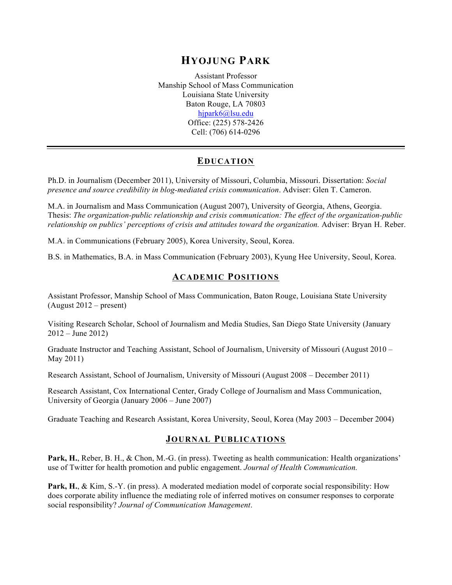# **HYOJUNG PARK**

Assistant Professor Manship School of Mass Communication Louisiana State University Baton Rouge, LA 70803 hjpark6@lsu.edu Office: (225) 578-2426 Cell: (706) 614-0296

# **EDUCATION**

Ph.D. in Journalism (December 2011), University of Missouri, Columbia, Missouri. Dissertation: *Social presence and source credibility in blog-mediated crisis communication*. Adviser: Glen T. Cameron.

M.A. in Journalism and Mass Communication (August 2007), University of Georgia, Athens, Georgia. Thesis: *The organization-public relationship and crisis communication: The effect of the organization-public relationship on publics' perceptions of crisis and attitudes toward the organization.* Adviser: Bryan H. Reber.

M.A. in Communications (February 2005), Korea University, Seoul, Korea.

B.S. in Mathematics, B.A. in Mass Communication (February 2003), Kyung Hee University, Seoul, Korea.

### **ACADEMIC POSITIONS**

Assistant Professor, Manship School of Mass Communication, Baton Rouge, Louisiana State University (August 2012 – present)

Visiting Research Scholar, School of Journalism and Media Studies, San Diego State University (January 2012 – June 2012)

Graduate Instructor and Teaching Assistant, School of Journalism, University of Missouri (August 2010 – May 2011)

Research Assistant, School of Journalism, University of Missouri (August 2008 – December 2011)

Research Assistant, Cox International Center, Grady College of Journalism and Mass Communication, University of Georgia (January 2006 – June 2007)

Graduate Teaching and Research Assistant, Korea University, Seoul, Korea (May 2003 – December 2004)

#### **JOURNAL PUBLICATIONS**

Park, H., Reber, B. H., & Chon, M.-G. (in press). Tweeting as health communication: Health organizations' use of Twitter for health promotion and public engagement. *Journal of Health Communication.*

**Park, H.**, & Kim, S.-Y. (in press). A moderated mediation model of corporate social responsibility: How does corporate ability influence the mediating role of inferred motives on consumer responses to corporate social responsibility? *Journal of Communication Management*.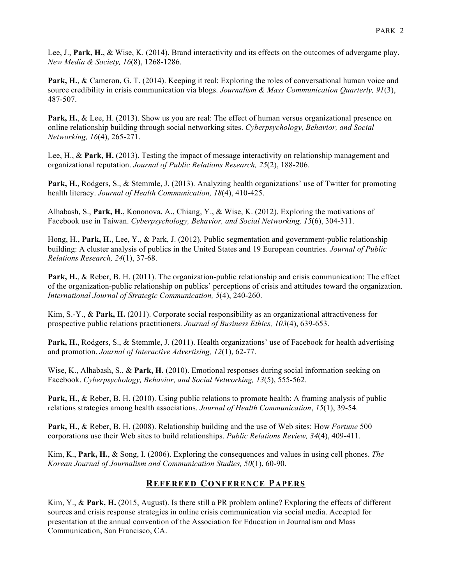Lee, J., **Park, H.**, & Wise, K. (2014). Brand interactivity and its effects on the outcomes of advergame play. *New Media & Society, 16*(8), 1268-1286.

**Park, H.**, & Cameron, G. T. (2014). Keeping it real: Exploring the roles of conversational human voice and source credibility in crisis communication via blogs. *Journalism & Mass Communication Quarterly, 91*(3), 487-507.

**Park, H.**, & Lee, H. (2013). Show us you are real: The effect of human versus organizational presence on online relationship building through social networking sites. *Cyberpsychology, Behavior, and Social Networking, 16*(4), 265-271.

Lee, H., & **Park, H.** (2013). Testing the impact of message interactivity on relationship management and organizational reputation. *Journal of Public Relations Research, 25*(2), 188-206.

**Park, H.**, Rodgers, S., & Stemmle, J. (2013). Analyzing health organizations' use of Twitter for promoting health literacy. *Journal of Health Communication, 18*(4), 410-425.

Alhabash, S., **Park, H.**, Kononova, A., Chiang, Y., & Wise, K. (2012). Exploring the motivations of Facebook use in Taiwan. *Cyberpsychology, Behavior, and Social Networking, 15*(6), 304-311.

Hong, H., **Park, H.**, Lee, Y., & Park, J. (2012). Public segmentation and government-public relationship building: A cluster analysis of publics in the United States and 19 European countries. *Journal of Public Relations Research, 24*(1), 37-68.

**Park, H., & Reber, B. H. (2011). The organization-public relationship and crisis communication: The effect** of the organization-public relationship on publics' perceptions of crisis and attitudes toward the organization. *International Journal of Strategic Communication, 5*(4), 240-260.

Kim, S.-Y., & **Park, H.** (2011). Corporate social responsibility as an organizational attractiveness for prospective public relations practitioners. *Journal of Business Ethics, 103*(4), 639-653.

**Park, H.**, Rodgers, S., & Stemmle, J. (2011). Health organizations' use of Facebook for health advertising and promotion. *Journal of Interactive Advertising, 12*(1), 62-77.

Wise, K., Alhabash, S., & **Park, H.** (2010). Emotional responses during social information seeking on Facebook. *Cyberpsychology, Behavior, and Social Networking, 13*(5), 555-562.

**Park, H.**, & Reber, B. H. (2010). Using public relations to promote health: A framing analysis of public relations strategies among health associations. *Journal of Health Communication*, *15*(1), 39-54.

**Park, H.**, & Reber, B. H. (2008). Relationship building and the use of Web sites: How *Fortune* 500 corporations use their Web sites to build relationships. *Public Relations Review, 34*(4), 409-411.

Kim, K., **Park, H.**, & Song, I. (2006). Exploring the consequences and values in using cell phones. *The Korean Journal of Journalism and Communication Studies, 50*(1), 60-90.

# **REFEREED CONFERENCE PAPERS**

Kim, Y., & **Park, H.** (2015, August). Is there still a PR problem online? Exploring the effects of different sources and crisis response strategies in online crisis communication via social media. Accepted for presentation at the annual convention of the Association for Education in Journalism and Mass Communication, San Francisco, CA.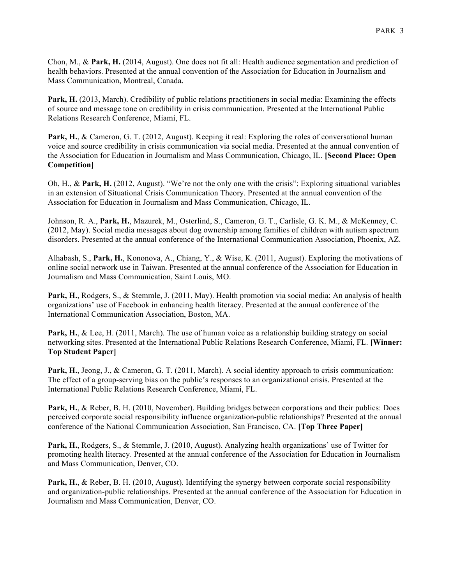Chon, M., & **Park, H.** (2014, August). One does not fit all: Health audience segmentation and prediction of health behaviors. Presented at the annual convention of the Association for Education in Journalism and Mass Communication, Montreal, Canada.

**Park, H.** (2013, March). Credibility of public relations practitioners in social media: Examining the effects of source and message tone on credibility in crisis communication. Presented at the International Public Relations Research Conference, Miami, FL.

**Park, H., & Cameron, G. T. (2012, August). Keeping it real: Exploring the roles of conversational human** voice and source credibility in crisis communication via social media. Presented at the annual convention of the Association for Education in Journalism and Mass Communication, Chicago, IL. **[Second Place: Open Competition]**

Oh, H., & **Park, H.** (2012, August). "We're not the only one with the crisis": Exploring situational variables in an extension of Situational Crisis Communication Theory. Presented at the annual convention of the Association for Education in Journalism and Mass Communication, Chicago, IL.

Johnson, R. A., **Park, H.**, Mazurek, M., Osterlind, S., Cameron, G. T., Carlisle, G. K. M., & McKenney, C. (2012, May). Social media messages about dog ownership among families of children with autism spectrum disorders. Presented at the annual conference of the International Communication Association, Phoenix, AZ.

Alhabash, S., **Park, H.**, Kononova, A., Chiang, Y., & Wise, K. (2011, August). Exploring the motivations of online social network use in Taiwan. Presented at the annual conference of the Association for Education in Journalism and Mass Communication, Saint Louis, MO.

**Park, H.**, Rodgers, S., & Stemmle, J. (2011, May). Health promotion via social media: An analysis of health organizations' use of Facebook in enhancing health literacy. Presented at the annual conference of the International Communication Association, Boston, MA.

**Park, H.**, & Lee, H. (2011, March). The use of human voice as a relationship building strategy on social networking sites. Presented at the International Public Relations Research Conference, Miami, FL. **[Winner: Top Student Paper]**

Park, H., Jeong, J., & Cameron, G. T. (2011, March). A social identity approach to crisis communication: The effect of a group-serving bias on the public's responses to an organizational crisis. Presented at the International Public Relations Research Conference, Miami, FL.

**Park, H.**, & Reber, B. H. (2010, November). Building bridges between corporations and their publics: Does perceived corporate social responsibility influence organization-public relationships? Presented at the annual conference of the National Communication Association, San Francisco, CA. **[Top Three Paper]**

Park, H., Rodgers, S., & Stemmle, J. (2010, August). Analyzing health organizations' use of Twitter for promoting health literacy. Presented at the annual conference of the Association for Education in Journalism and Mass Communication, Denver, CO.

**Park, H.**, & Reber, B. H. (2010, August). Identifying the synergy between corporate social responsibility and organization-public relationships. Presented at the annual conference of the Association for Education in Journalism and Mass Communication, Denver, CO.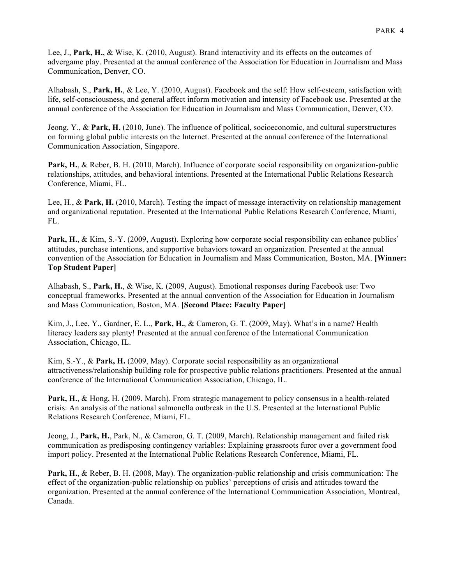Lee, J., **Park, H.**, & Wise, K. (2010, August). Brand interactivity and its effects on the outcomes of advergame play. Presented at the annual conference of the Association for Education in Journalism and Mass Communication, Denver, CO.

Alhabash, S., **Park, H.**, & Lee, Y. (2010, August). Facebook and the self: How self-esteem, satisfaction with life, self-consciousness, and general affect inform motivation and intensity of Facebook use. Presented at the annual conference of the Association for Education in Journalism and Mass Communication, Denver, CO.

Jeong, Y., & **Park, H.** (2010, June). The influence of political, socioeconomic, and cultural superstructures on forming global public interests on the Internet. Presented at the annual conference of the International Communication Association, Singapore.

**Park, H.**, & Reber, B. H. (2010, March). Influence of corporate social responsibility on organization-public relationships, attitudes, and behavioral intentions. Presented at the International Public Relations Research Conference, Miami, FL.

Lee, H., & **Park, H.** (2010, March). Testing the impact of message interactivity on relationship management and organizational reputation. Presented at the International Public Relations Research Conference, Miami, FL.

Park, H., & Kim, S.-Y. (2009, August). Exploring how corporate social responsibility can enhance publics' attitudes, purchase intentions, and supportive behaviors toward an organization. Presented at the annual convention of the Association for Education in Journalism and Mass Communication, Boston, MA. **[Winner: Top Student Paper]**

Alhabash, S., **Park, H.**, & Wise, K. (2009, August). Emotional responses during Facebook use: Two conceptual frameworks. Presented at the annual convention of the Association for Education in Journalism and Mass Communication, Boston, MA. **[Second Place: Faculty Paper]**

Kim, J., Lee, Y., Gardner, E. L., **Park, H.**, & Cameron, G. T. (2009, May). What's in a name? Health literacy leaders say plenty! Presented at the annual conference of the International Communication Association, Chicago, IL.

Kim, S.-Y., & **Park, H.** (2009, May). Corporate social responsibility as an organizational attractiveness/relationship building role for prospective public relations practitioners. Presented at the annual conference of the International Communication Association, Chicago, IL.

**Park, H.**, & Hong, H. (2009, March). From strategic management to policy consensus in a health-related crisis: An analysis of the national salmonella outbreak in the U.S. Presented at the International Public Relations Research Conference, Miami, FL.

Jeong, J., **Park, H.**, Park, N., & Cameron, G. T. (2009, March). Relationship management and failed risk communication as predisposing contingency variables: Explaining grassroots furor over a government food import policy. Presented at the International Public Relations Research Conference, Miami, FL.

**Park, H.**, & Reber, B. H. (2008, May). The organization-public relationship and crisis communication: The effect of the organization-public relationship on publics' perceptions of crisis and attitudes toward the organization. Presented at the annual conference of the International Communication Association, Montreal, Canada.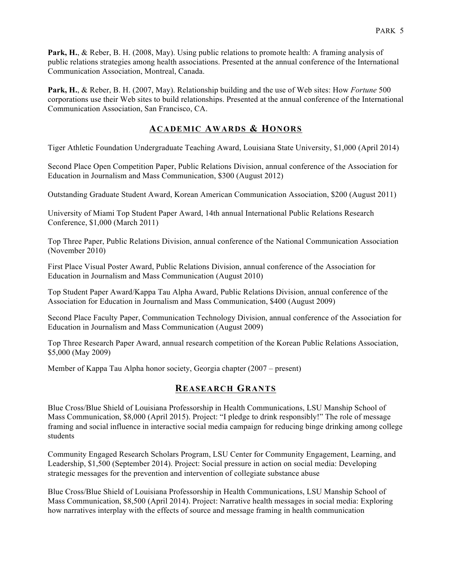**Park, H.**, & Reber, B. H. (2008, May). Using public relations to promote health: A framing analysis of public relations strategies among health associations. Presented at the annual conference of the International Communication Association, Montreal, Canada.

**Park, H.**, & Reber, B. H. (2007, May). Relationship building and the use of Web sites: How *Fortune* 500 corporations use their Web sites to build relationships. Presented at the annual conference of the International Communication Association, San Francisco, CA.

# **ACADEMIC AWARDS & HONORS**

Tiger Athletic Foundation Undergraduate Teaching Award, Louisiana State University, \$1,000 (April 2014)

Second Place Open Competition Paper, Public Relations Division, annual conference of the Association for Education in Journalism and Mass Communication, \$300 (August 2012)

Outstanding Graduate Student Award, Korean American Communication Association, \$200 (August 2011)

University of Miami Top Student Paper Award, 14th annual International Public Relations Research Conference, \$1,000 (March 2011)

Top Three Paper, Public Relations Division, annual conference of the National Communication Association (November 2010)

First Place Visual Poster Award, Public Relations Division, annual conference of the Association for Education in Journalism and Mass Communication (August 2010)

Top Student Paper Award/Kappa Tau Alpha Award, Public Relations Division, annual conference of the Association for Education in Journalism and Mass Communication, \$400 (August 2009)

Second Place Faculty Paper, Communication Technology Division, annual conference of the Association for Education in Journalism and Mass Communication (August 2009)

Top Three Research Paper Award, annual research competition of the Korean Public Relations Association, \$5,000 (May 2009)

Member of Kappa Tau Alpha honor society, Georgia chapter (2007 – present)

#### **REASEARCH GRANTS**

Blue Cross/Blue Shield of Louisiana Professorship in Health Communications, LSU Manship School of Mass Communication, \$8,000 (April 2015). Project: "I pledge to drink responsibly!" The role of message framing and social influence in interactive social media campaign for reducing binge drinking among college students

Community Engaged Research Scholars Program, LSU Center for Community Engagement, Learning, and Leadership, \$1,500 (September 2014). Project: Social pressure in action on social media: Developing strategic messages for the prevention and intervention of collegiate substance abuse

Blue Cross/Blue Shield of Louisiana Professorship in Health Communications, LSU Manship School of Mass Communication, \$8,500 (April 2014). Project: Narrative health messages in social media: Exploring how narratives interplay with the effects of source and message framing in health communication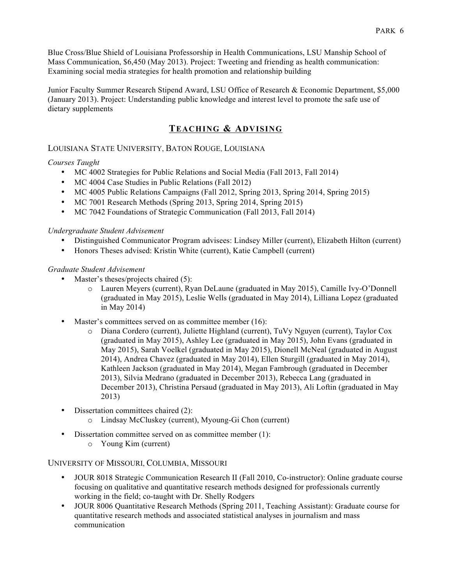Blue Cross/Blue Shield of Louisiana Professorship in Health Communications, LSU Manship School of Mass Communication, \$6,450 (May 2013). Project: Tweeting and friending as health communication: Examining social media strategies for health promotion and relationship building

Junior Faculty Summer Research Stipend Award, LSU Office of Research & Economic Department, \$5,000 (January 2013). Project: Understanding public knowledge and interest level to promote the safe use of dietary supplements

# **TEACHING & ADVISING**

## LOUISIANA STATE UNIVERSITY, BATON ROUGE, LOUISIANA

### *Courses Taught*

- MC 4002 Strategies for Public Relations and Social Media (Fall 2013, Fall 2014)
- MC 4004 Case Studies in Public Relations (Fall 2012)
- MC 4005 Public Relations Campaigns (Fall 2012, Spring 2013, Spring 2014, Spring 2015)
- MC 7001 Research Methods (Spring 2013, Spring 2014, Spring 2015)
- MC 7042 Foundations of Strategic Communication (Fall 2013, Fall 2014)

#### *Undergraduate Student Advisement*

- Distinguished Communicator Program advisees: Lindsey Miller (current), Elizabeth Hilton (current)
- Honors Theses advised: Kristin White (current), Katie Campbell (current)

#### *Graduate Student Advisement*

- Master's theses/projects chaired (5):
	- o Lauren Meyers (current), Ryan DeLaune (graduated in May 2015), Camille Ivy-O'Donnell (graduated in May 2015), Leslie Wells (graduated in May 2014), Lilliana Lopez (graduated in May 2014)
- Master's committees served on as committee member (16):
	- o Diana Cordero (current), Juliette Highland (current), TuVy Nguyen (current), Taylor Cox (graduated in May 2015), Ashley Lee (graduated in May 2015), John Evans (graduated in May 2015), Sarah Voelkel (graduated in May 2015), Dionell McNeal (graduated in August 2014), Andrea Chavez (graduated in May 2014), Ellen Sturgill (graduated in May 2014), Kathleen Jackson (graduated in May 2014), Megan Fambrough (graduated in December 2013), Silvia Medrano (graduated in December 2013), Rebecca Lang (graduated in December 2013), Christina Persaud (graduated in May 2013), Ali Loftin (graduated in May 2013)
- Dissertation committees chaired (2):
	- o Lindsay McCluskey (current), Myoung-Gi Chon (current)
- Dissertation committee served on as committee member (1):
	- o Young Kim (current)

## UNIVERSITY OF MISSOURI, COLUMBIA, MISSOURI

- JOUR 8018 Strategic Communication Research II (Fall 2010, Co-instructor): Online graduate course focusing on qualitative and quantitative research methods designed for professionals currently working in the field; co-taught with Dr. Shelly Rodgers
- JOUR 8006 Quantitative Research Methods (Spring 2011, Teaching Assistant): Graduate course for quantitative research methods and associated statistical analyses in journalism and mass communication